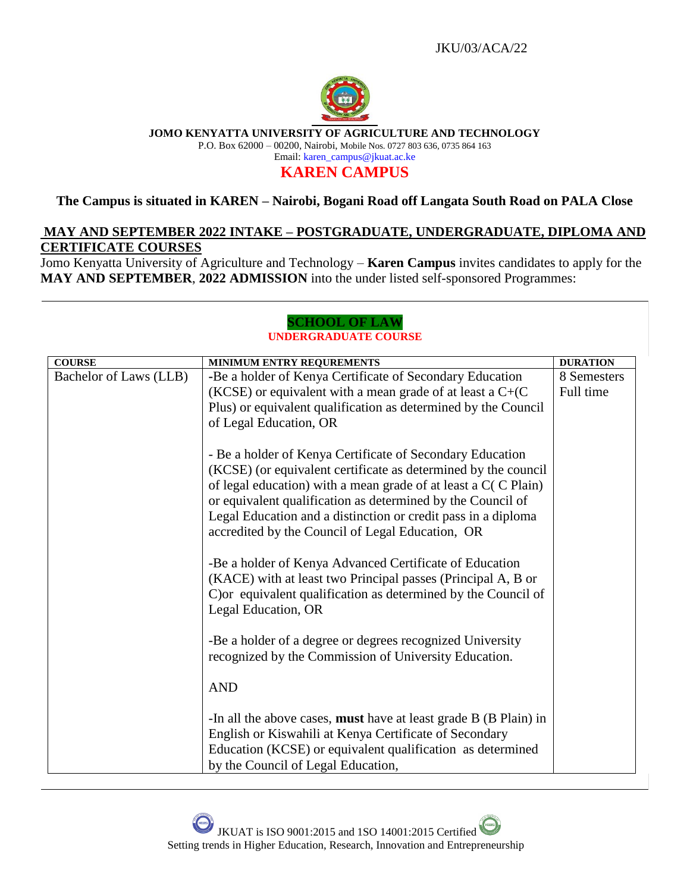

**JOMO KENYATTA UNIVERSITY OF AGRICULTURE AND TECHNOLOGY**

P.O. Box 62000 – 00200, Nairobi, Mobile Nos. 0727 803 636, 0735 864 163 Email: karen\_campus@jkuat.ac.ke

# **KAREN CAMPUS**

## **The Campus is situated in KAREN – Nairobi, Bogani Road off Langata South Road on PALA Close**

## **MAY AND SEPTEMBER 2022 INTAKE – POSTGRADUATE, UNDERGRADUATE, DIPLOMA AND CERTIFICATE COURSES**

Jomo Kenyatta University of Agriculture and Technology – **Karen Campus** invites candidates to apply for the **MAY AND SEPTEMBER**, **2022 ADMISSION** into the under listed self-sponsored Programmes:

### **SCHOOL OF LAW UNDERGRADUATE COURSE**

| <b>COURSE</b>          | <b>MINIMUM ENTRY REQUREMENTS</b>                                                                                                                                                                                                                                                                                                                                                    | <b>DURATION</b>          |
|------------------------|-------------------------------------------------------------------------------------------------------------------------------------------------------------------------------------------------------------------------------------------------------------------------------------------------------------------------------------------------------------------------------------|--------------------------|
| Bachelor of Laws (LLB) | -Be a holder of Kenya Certificate of Secondary Education<br>(KCSE) or equivalent with a mean grade of at least a $C+ (C)$<br>Plus) or equivalent qualification as determined by the Council<br>of Legal Education, OR                                                                                                                                                               | 8 Semesters<br>Full time |
|                        | - Be a holder of Kenya Certificate of Secondary Education<br>(KCSE) (or equivalent certificate as determined by the council<br>of legal education) with a mean grade of at least a $C(C$ Plain)<br>or equivalent qualification as determined by the Council of<br>Legal Education and a distinction or credit pass in a diploma<br>accredited by the Council of Legal Education, OR |                          |
|                        | -Be a holder of Kenya Advanced Certificate of Education<br>(KACE) with at least two Principal passes (Principal A, B or<br>C) or equivalent qualification as determined by the Council of<br>Legal Education, OR                                                                                                                                                                    |                          |
|                        | -Be a holder of a degree or degrees recognized University<br>recognized by the Commission of University Education.                                                                                                                                                                                                                                                                  |                          |
|                        | <b>AND</b>                                                                                                                                                                                                                                                                                                                                                                          |                          |
|                        | -In all the above cases, <b>must</b> have at least grade B (B Plain) in<br>English or Kiswahili at Kenya Certificate of Secondary<br>Education (KCSE) or equivalent qualification as determined<br>by the Council of Legal Education,                                                                                                                                               |                          |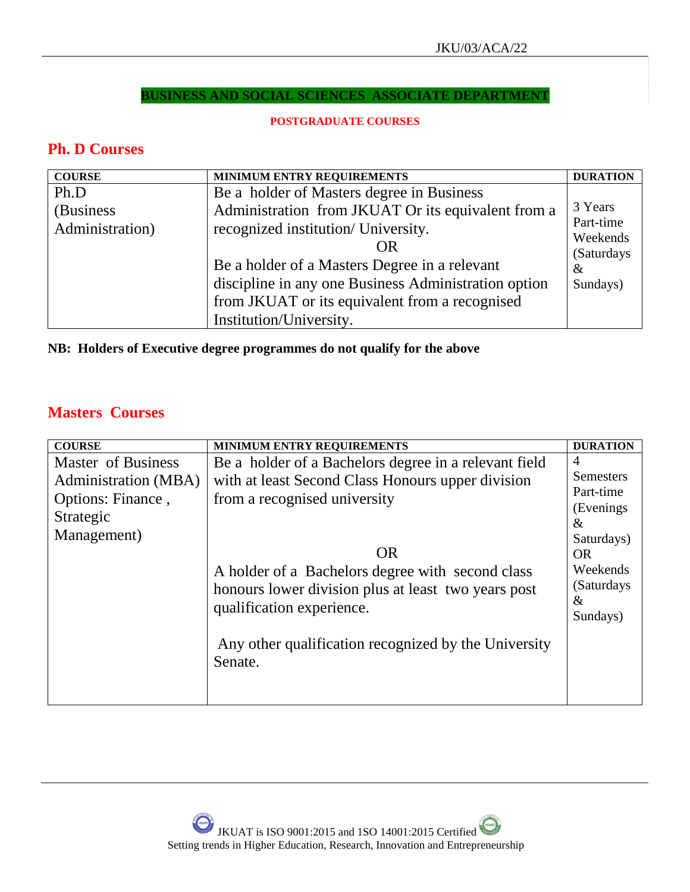## **BUSINESS AND SOCIAL SCIENCES ASSOCIATE DEPARTMENT**

## **POSTGRADUATE COURSES**

## **Ph. D Courses**

| <b>COURSE</b>   | <b>MINIMUM ENTRY REQUIREMENTS</b>                    | <b>DURATION</b>         |
|-----------------|------------------------------------------------------|-------------------------|
| Ph.D            | Be a holder of Masters degree in Business            |                         |
| (Business)      | Administration from JKUAT Or its equivalent from a   | 3 Years                 |
| Administration) | recognized institution/ University.                  | Part-time               |
|                 | OR                                                   | Weekends<br>(Saturdays) |
|                 | Be a holder of a Masters Degree in a relevant        | $\&$                    |
|                 | discipline in any one Business Administration option | Sundays)                |
|                 | from JKUAT or its equivalent from a recognised       |                         |
|                 | Institution/University.                              |                         |

**NB: Holders of Executive degree programmes do not qualify for the above**

# **Masters Courses**

| <b>COURSE</b>                                                                               | MINIMUM ENTRY REQUIREMENTS                                                                                                                                                                                                                                                                                                                                         | <b>DURATION</b>                                                                                                    |
|---------------------------------------------------------------------------------------------|--------------------------------------------------------------------------------------------------------------------------------------------------------------------------------------------------------------------------------------------------------------------------------------------------------------------------------------------------------------------|--------------------------------------------------------------------------------------------------------------------|
| Master of Business<br>Administration (MBA)<br>Options: Finance,<br>Strategic<br>Management) | Be a holder of a Bachelors degree in a relevant field<br>with at least Second Class Honours upper division<br>from a recognised university<br><b>OR</b><br>A holder of a Bachelors degree with second class<br>honours lower division plus at least two years post<br>qualification experience.<br>Any other qualification recognized by the University<br>Senate. | 4<br>Semesters<br>Part-time<br>(Evenings)<br>$\&$<br>Saturdays)<br>OR.<br>Weekends<br>(Saturdays)<br>&<br>Sundays) |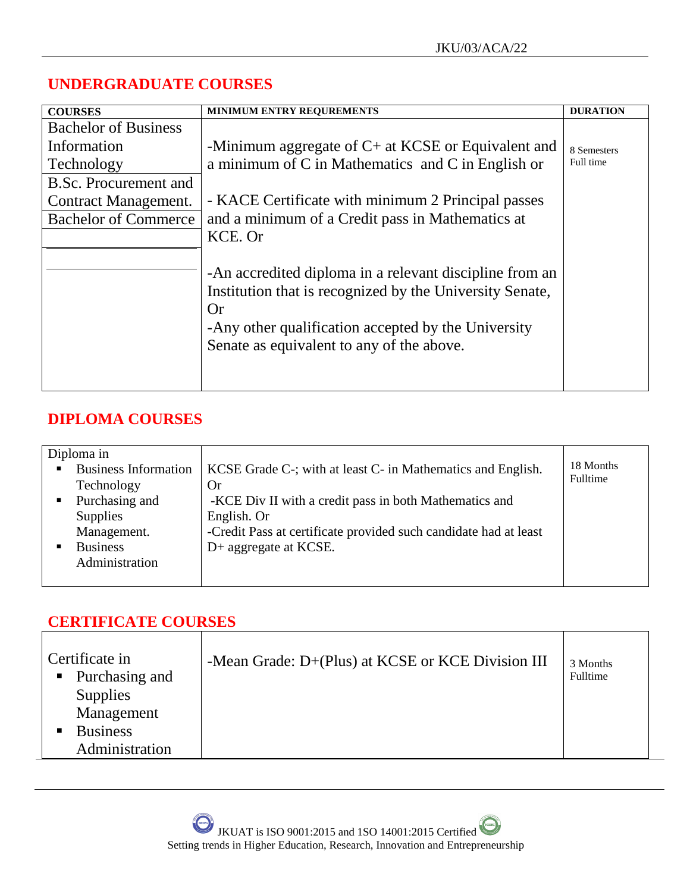# **UNDERGRADUATE COURSES**

| <b>COURSES</b>              | MINIMUM ENTRY REQUREMENTS                                                                                                                                                                                                            | <b>DURATION</b> |
|-----------------------------|--------------------------------------------------------------------------------------------------------------------------------------------------------------------------------------------------------------------------------------|-----------------|
| <b>Bachelor of Business</b> |                                                                                                                                                                                                                                      |                 |
| Information                 | -Minimum aggregate of $C$ + at KCSE or Equivalent and                                                                                                                                                                                | 8 Semesters     |
| Technology                  | a minimum of C in Mathematics and C in English or                                                                                                                                                                                    | Full time       |
| B.Sc. Procurement and       |                                                                                                                                                                                                                                      |                 |
| Contract Management.        | - KACE Certificate with minimum 2 Principal passes                                                                                                                                                                                   |                 |
| <b>Bachelor of Commerce</b> | and a minimum of a Credit pass in Mathematics at                                                                                                                                                                                     |                 |
|                             | KCE. Or                                                                                                                                                                                                                              |                 |
|                             | -An accredited diploma in a relevant discipline from an<br>Institution that is recognized by the University Senate,<br><b>Or</b><br>-Any other qualification accepted by the University<br>Senate as equivalent to any of the above. |                 |

# **DIPLOMA COURSES**

| Diploma in                  |                                                                  |           |
|-----------------------------|------------------------------------------------------------------|-----------|
| <b>Business Information</b> | KCSE Grade C-; with at least C- in Mathematics and English.      | 18 Months |
| Technology                  | <b>Or</b>                                                        | Fulltime  |
| Purchasing and              | -KCE Div II with a credit pass in both Mathematics and           |           |
| <b>Supplies</b>             | English. Or                                                      |           |
| Management.                 | -Credit Pass at certificate provided such candidate had at least |           |
| <b>Business</b>             | D+ aggregate at KCSE.                                            |           |
| Administration              |                                                                  |           |
|                             |                                                                  |           |

# **CERTIFICATE COURSES**

| Certificate in<br>• Purchasing and<br><b>Supplies</b><br>Management<br><b>Business</b><br>Administration | -Mean Grade: D+(Plus) at KCSE or KCE Division III | 3 Months<br>Fulltime |  |
|----------------------------------------------------------------------------------------------------------|---------------------------------------------------|----------------------|--|
|                                                                                                          |                                                   |                      |  |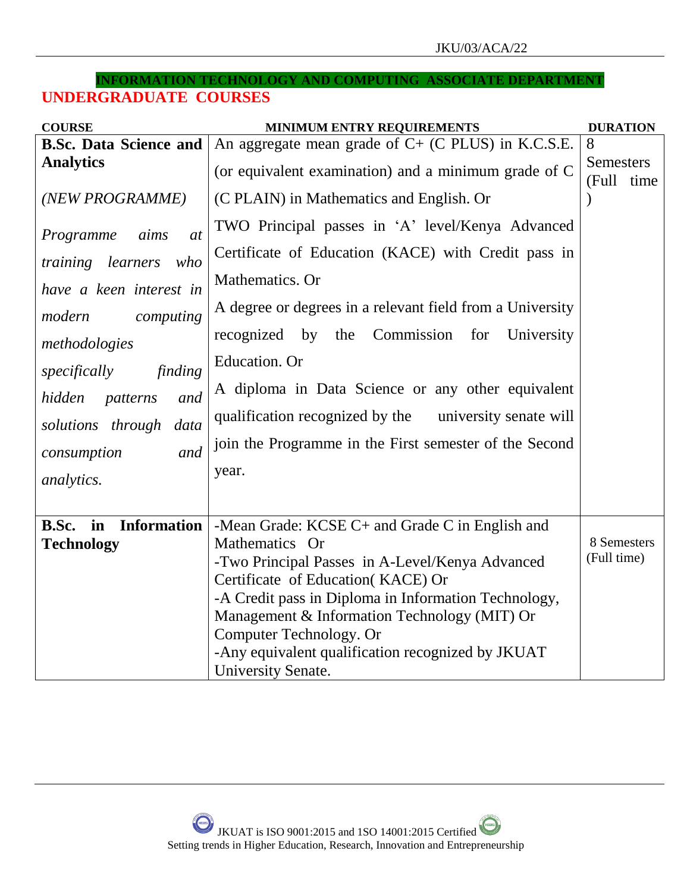### **INFORMATION TECHNOLOGY AND COMPUTING ASSOCIATE DEPARTMENT**

# **UNDERGRADUATE COURSES**

| <b>COURSE</b>                     | MINIMUM ENTRY REQUIREMENTS                                              | <b>DURATION</b>                |
|-----------------------------------|-------------------------------------------------------------------------|--------------------------------|
| <b>B.Sc. Data Science and</b>     | An aggregate mean grade of $C+$ (C PLUS) in K.C.S.E.                    | 8                              |
| <b>Analytics</b>                  | (or equivalent examination) and a minimum grade of C                    | <b>Semesters</b><br>(Full time |
| (NEW PROGRAMME)                   | (C PLAIN) in Mathematics and English. Or                                |                                |
| Programme<br>aims<br>at           | TWO Principal passes in 'A' level/Kenya Advanced                        |                                |
| training learners<br>who          | Certificate of Education (KACE) with Credit pass in                     |                                |
| have a keen interest in           | Mathematics. Or                                                         |                                |
| modern<br>computing               | A degree or degrees in a relevant field from a University               |                                |
| methodologies                     | the Commission<br>recognized by<br>University<br>for                    |                                |
| specifically<br>finding           | Education. Or                                                           |                                |
| hidden<br>and<br>patterns         | A diploma in Data Science or any other equivalent                       |                                |
| solutions through<br>data         | qualification recognized by the university senate will                  |                                |
| consumption<br>and                | join the Programme in the First semester of the Second                  |                                |
| analytics.                        | year.                                                                   |                                |
|                                   |                                                                         |                                |
| <b>Information</b><br>B.Sc.<br>in | -Mean Grade: KCSE C+ and Grade C in English and                         |                                |
| <b>Technology</b>                 | Mathematics Or                                                          | 8 Semesters<br>(Full time)     |
|                                   | -Two Principal Passes in A-Level/Kenya Advanced                         |                                |
|                                   | Certificate of Education(KACE) Or                                       |                                |
|                                   | -A Credit pass in Diploma in Information Technology,                    |                                |
|                                   | Management & Information Technology (MIT) Or<br>Computer Technology. Or |                                |
|                                   | -Any equivalent qualification recognized by JKUAT                       |                                |
|                                   | University Senate.                                                      |                                |